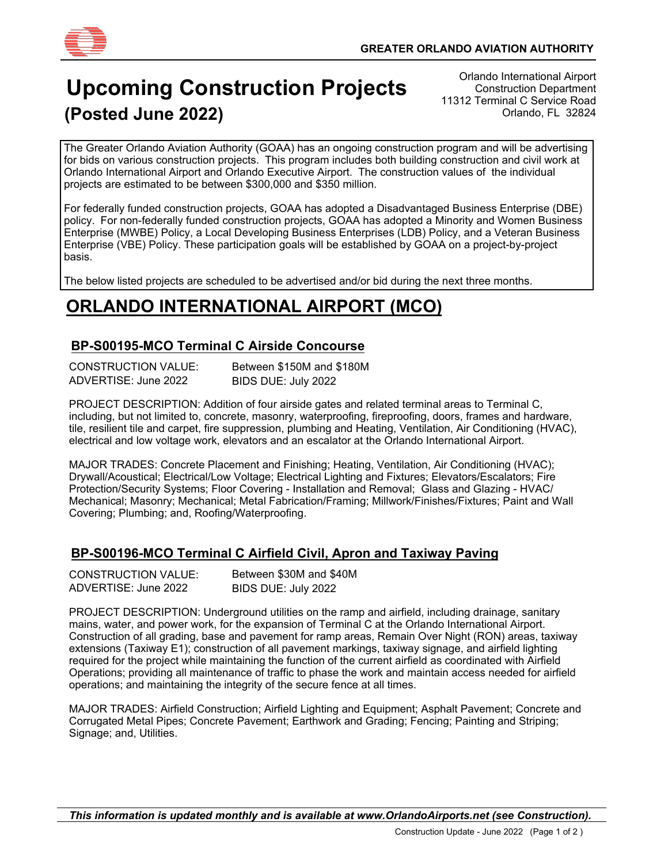

# **Upcoming Construction Projects (Posted June 2022)**

Orlando International Airport Construction Department 11312 Terminal C Service Road Orlando, FL 32824

 Orlando International Airport and Orlando Executive Airport. The construction values of the individual The Greater Orlando Aviation Authority (GOAA) has an ongoing construction program and will be advertising for bids on various construction projects. This program includes both building construction and civil work at projects are estimated to be between \$300,000 and \$350 million.

For federally funded construction projects, GOAA has adopted a Disadvantaged Business Enterprise (DBE) policy. For non-federally funded construction projects, GOAA has adopted a Minority and Women Business Enterprise (MWBE) Policy, a Local Developing Business Enterprises (LDB) Policy, and a Veteran Business Enterprise (VBE) Policy. These participation goals will be established by GOAA on a project-by-project basis.

The below listed projects are scheduled to be advertised and/or bid during the next three months.

### **ORLANDO INTERNATIONAL AIRPORT (MCO)**

#### **BP-S00195-MCO Terminal C Airside Concourse**

| <b>CONSTRUCTION VALUE:</b> | Between \$150M and \$180M |
|----------------------------|---------------------------|
| ADVERTISE: June 2022       | BIDS DUE: July 2022       |

PROJECT DESCRIPTION: Addition of four airside gates and related terminal areas to Terminal C, including, but not limited to, concrete, masonry, waterproofing, fireproofing, doors, frames and hardware, tile, resilient tile and carpet, fire suppression, plumbing and Heating, Ventilation, Air Conditioning (HVAC), electrical and low voltage work, elevators and an escalator at the Orlando International Airport.

MAJOR TRADES: Concrete Placement and Finishing; Heating, Ventilation, Air Conditioning (HVAC); Drywall/Acoustical; Electrical/Low Voltage; Electrical Lighting and Fixtures; Elevators/Escalators; Fire Protection/Security Systems; Floor Covering - Installation and Removal; Glass and Glazing - HVAC/ Mechanical; Masonry; Mechanical; Metal Fabrication/Framing; Millwork/Finishes/Fixtures; Paint and Wall Covering; Plumbing; and, Roofing/Waterproofing.

### **BP-S00196-MCO Terminal C Airfield Civil, Apron and Taxiway Paving**

| <b>CONSTRUCTION VALUE:</b> | Between \$30M and \$40M |
|----------------------------|-------------------------|
| ADVERTISE: June 2022       | BIDS DUE: July 2022     |

PROJECT DESCRIPTION: Underground utilities on the ramp and airfield, including drainage, sanitary mains, water, and power work, for the expansion of Terminal C at the Orlando International Airport. Construction of all grading, base and pavement for ramp areas, Remain Over Night (RON) areas, taxiway extensions (Taxiway E1); construction of all pavement markings, taxiway signage, and airfield lighting required for the project while maintaining the function of the current airfield as coordinated with Airfield Operations; providing all maintenance of traffic to phase the work and maintain access needed for airfield operations; and maintaining the integrity of the secure fence at all times.

MAJOR TRADES: Airfield Construction; Airfield Lighting and Equipment; Asphalt Pavement; Concrete and Corrugated Metal Pipes; Concrete Pavement; Earthwork and Grading; Fencing; Painting and Striping; Signage; and, Utilities.